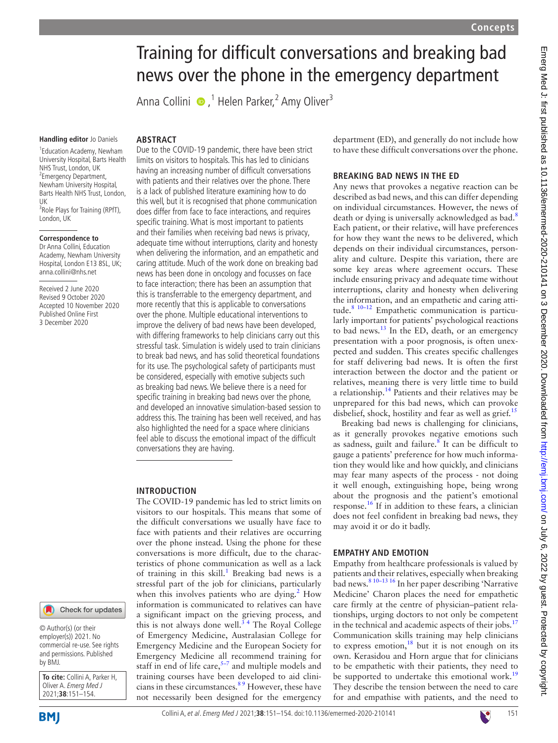# Training for difficult conversations and breaking bad news over the phone in the emergency department

AnnaCollini  $\bigcirc$  ,<sup>1</sup> Helen Parker,<sup>2</sup> Amy Oliver<sup>3</sup>

Due to the COVID-19 pandemic, there have been strict limits on visitors to hospitals. This has led to clinicians having an increasing number of difficult conversations with patients and their relatives over the phone. There is a lack of published literature examining how to do this well, but it is recognised that phone communication does differ from face to face interactions, and requires specific training. What is most important to patients and their families when receiving bad news is privacy, adequate time without interruptions, clarity and honesty when delivering the information, and an empathetic and caring attitude. Much of the work done on breaking bad news has been done in oncology and focusses on face to face interaction; there has been an assumption that this is transferrable to the emergency department, and more recently that this is applicable to conversations over the phone. Multiple educational interventions to improve the delivery of bad news have been developed, with differing frameworks to help clinicians carry out this stressful task. Simulation is widely used to train clinicians to break bad news, and has solid theoretical foundations for its use. The psychological safety of participants must be considered, especially with emotive subjects such as breaking bad news. We believe there is a need for specific training in breaking bad news over the phone, and developed an innovative simulation-based session to address this. The training has been well received, and has also highlighted the need for a space where clinicians feel able to discuss the emotional impact of the difficult

conversations they are having.

The COVID-19 pandemic has led to strict limits on visitors to our hospitals. This means that some of the difficult conversations we usually have face to face with patients and their relatives are occurring over the phone instead. Using the phone for these conversations is more difficult, due to the characteristics of phone communication as well as a lack of training in this skill.<sup>[1](#page-3-0)</sup> Breaking bad news is a stressful part of the job for clinicians, particularly when this involves patients who are dying.<sup>[2](#page-3-1)</sup> How information is communicated to relatives can have a significant impact on the grieving process, and this is not always done well.<sup>34</sup> The Royal College of Emergency Medicine, Australasian College for Emergency Medicine and the European Society for Emergency Medicine all recommend training for staff in end of life care, $5-7$  and multiple models and training courses have been developed to aid clinicians in these circumstances.[8 9](#page-3-4) However, these have not necessarily been designed for the emergency

**INTRODUCTION**

#### **Handling editor** Jo Daniels

## **ARSTRACT**

1 Education Academy, Newham University Hospital, Barts Health NHS Trust, London, UK <sup>2</sup> Emergency Department, Newham University Hospital, Barts Health NHS Trust, London, UK 3 Role Plays for Training (RPfT), London, UK

#### **Correspondence to**

Dr Anna Collini, Education Academy, Newham University Hospital, London E13 8SL, UK; anna.collini@nhs.net

Received 2 June 2020 Revised 9 October 2020 Accepted 10 November 2020 Published Online First 3 December 2020

# Check for updates

© Author(s) (or their employer(s)) 2021. No commercial re-use. See rights and permissions. Published by BMJ.

**To cite:** Collini A, Parker H, Oliver A. Emerg Med J 2021;**38**:151–154.

**BMI** 

# ColliniA, et al. Emerg Med J 2021;**38**:151–154. doi:10.1136/emermed-2020-210141

department (ED), and generally do not include how to have these difficult conversations over the phone.

## **BREAKING BAD NEWS IN THE ED**

Any news that provokes a negative reaction can be described as bad news, and this can differ depending on individual circumstances. However, the news of death or dying is universally acknowledged as bad.<sup>[8](#page-3-4)</sup> Each patient, or their relative, will have preferences for how they want the news to be delivered, which depends on their individual circumstances, personality and culture. Despite this variation, there are some key areas where agreement occurs. These include ensuring privacy and adequate time without interruptions, clarity and honesty when delivering the information, and an empathetic and caring attitude.<sup>8</sup> <sup>10–12</sup> Empathetic communication is particularly important for patients' psychological reactions to bad news. $^{13}$  In the ED, death, or an emergency presentation with a poor prognosis, is often unexpected and sudden. This creates specific challenges for staff delivering bad news. It is often the first interaction between the doctor and the patient or relatives, meaning there is very little time to build a relationship.[14](#page-3-6) Patients and their relatives may be unprepared for this bad news, which can provoke disbelief, shock, hostility and fear as well as grief.<sup>[15](#page-3-7)</sup>

Breaking bad news is challenging for clinicians, as it generally provokes negative emotions such as sadness, guilt and failure. $8$  It can be difficult to gauge a patients' preference for how much information they would like and how quickly, and clinicians may fear many aspects of the process - not doing it well enough, extinguishing hope, being wrong about the prognosis and the patient's emotional response.[16](#page-3-8) If in addition to these fears, a clinician does not feel confident in breaking bad news, they may avoid it or do it badly.

#### **EMPATHY AND EMOTION**

Empathy from healthcare professionals is valued by patients and their relatives, especially when breaking bad news[.8 10–13 16](#page-3-4) In her paper describing 'Narrative Medicine' Charon places the need for empathetic care firmly at the centre of physician–patient relationships, urging doctors to not only be competent in the technical and academic aspects of their jobs.<sup>[17](#page-3-9)</sup> Communication skills training may help clinicians to express emotion, $18$  but it is not enough on its own. Kerasidou and Horn argue that for clinicians to be empathetic with their patients, they need to be supported to undertake this emotional work.<sup>[19](#page-3-11)</sup> They describe the tension between the need to care for and empathise with patients, and the need to

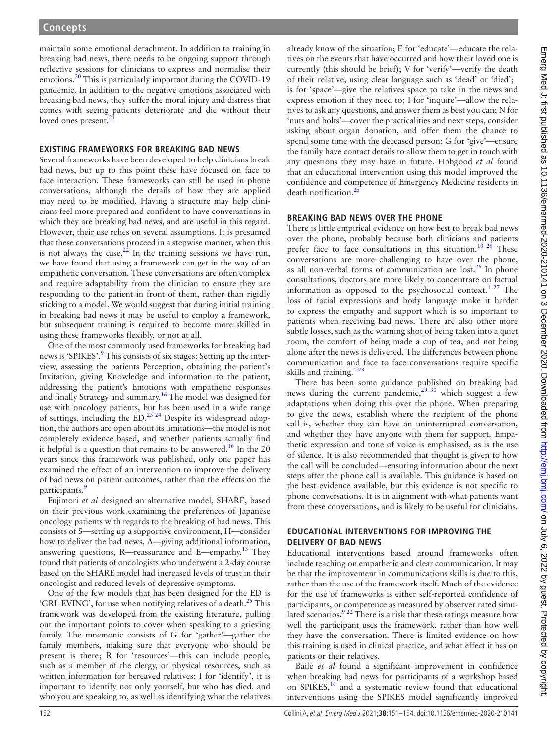maintain some emotional detachment. In addition to training in breaking bad news, there needs to be ongoing support through reflective sessions for clinicians to express and normalise their emotions.[20](#page-3-12) This is particularly important during the COVID-19 pandemic. In addition to the negative emotions associated with breaking bad news, they suffer the moral injury and distress that comes with seeing patients deteriorate and die without their loved ones present.<sup>[21](#page-3-13)</sup>

## **EXISTING FRAMEWORKS FOR BREAKING BAD NEWS**

Several frameworks have been developed to help clinicians break bad news, but up to this point these have focused on face to face interaction. These frameworks can still be used in phone conversations, although the details of how they are applied may need to be modified. Having a structure may help clinicians feel more prepared and confident to have conversations in which they are breaking bad news, and are useful in this regard. However, their use relies on several assumptions. It is presumed that these conversations proceed in a stepwise manner, when this is not always the case. $2^2$  In the training sessions we have run, we have found that using a framework can get in the way of an empathetic conversation. These conversations are often complex and require adaptability from the clinician to ensure they are responding to the patient in front of them, rather than rigidly sticking to a model. We would suggest that during initial training in breaking bad news it may be useful to employ a framework, but subsequent training is required to become more skilled in using these frameworks flexibly, or not at all.

One of the most commonly used frameworks for breaking bad news is 'SPIKES'.<sup>9</sup> This consists of six stages: Setting up the interview, assessing the patients Perception, obtaining the patient's Invitation, giving Knowledge and information to the patient, addressing the patient's Emotions with empathetic responses and finally Strategy and summary.<sup>[16](#page-3-8)</sup> The model was designed for use with oncology patients, but has been used in a wide range of settings, including the ED.<sup>[23 24](#page-3-16)</sup> Despite its widespread adoption, the authors are open about its limitations—the model is not completely evidence based, and whether patients actually find it helpful is a question that remains to be answered.<sup>16</sup> In the 20 years since this framework was published, only one paper has examined the effect of an intervention to improve the delivery of bad news on patient outcomes, rather than the effects on the participants.<sup>[9](#page-3-15)</sup>

Fujimori *et al* designed an alternative model, SHARE, based on their previous work examining the preferences of Japanese oncology patients with regards to the breaking of bad news. This consists of S—setting up a supportive environment, H—consider how to deliver the bad news, A—giving additional information, answering questions, R—reassurance and E—empathy.<sup>13</sup> They found that patients of oncologists who underwent a 2-day course based on the SHARE model had increased levels of trust in their oncologist and reduced levels of depressive symptoms.

One of the few models that has been designed for the ED is 'GRI EVING', for use when notifying relatives of a death.<sup>25</sup> This framework was developed from the existing literature, pulling out the important points to cover when speaking to a grieving family. The mnemonic consists of G for 'gather'—gather the family members, making sure that everyone who should be present is there; R for 'resources'—this can include people, such as a member of the clergy, or physical resources, such as written information for bereaved relatives: I for 'identify', it is important to identify not only yourself, but who has died, and who you are speaking to, as well as identifying what the relatives

already know of the situation; E for 'educate'—educate the relatives on the events that have occurred and how their loved one is currently (this should be brief); V for 'verify'—verify the death of their relative, using clear language such as 'dead' or 'died';\_ is for 'space'—give the relatives space to take in the news and express emotion if they need to; I for 'inquire'—allow the relatives to ask any questions, and answer them as best you can; N for 'nuts and bolts'—cover the practicalities and next steps, consider asking about organ donation, and offer them the chance to spend some time with the deceased person; G for 'give'—ensure the family have contact details to allow them to get in touch with any questions they may have in future. Hobgood *et al* found that an educational intervention using this model improved the confidence and competence of Emergency Medicine residents in death notification.<sup>[25](#page-3-17)</sup>

# **BREAKING BAD NEWS OVER THE PHONE**

There is little empirical evidence on how best to break bad news over the phone, probably because both clinicians and patients prefer face to face consultations in this situation.<sup>10 26</sup> These conversations are more challenging to have over the phone, as all non-verbal forms of communication are lost. $26$  In phone consultations, doctors are more likely to concentrate on factual information as opposed to the psychosocial context.<sup>1 27</sup> The loss of facial expressions and body language make it harder to express the empathy and support which is so important to patients when receiving bad news. There are also other more subtle losses, such as the warning shot of being taken into a quiet room, the comfort of being made a cup of tea, and not being alone after the news is delivered. The differences between phone communication and face to face conversations require specific skills and training.<sup>128</sup>

There has been some guidance published on breaking bad news during the current pandemic,<sup>29 30</sup> which suggest a few adaptations when doing this over the phone. When preparing to give the news, establish where the recipient of the phone call is, whether they can have an uninterrupted conversation, and whether they have anyone with them for support. Empathetic expression and tone of voice is emphasised, as is the use of silence. It is also recommended that thought is given to how the call will be concluded—ensuring information about the next steps after the phone call is available. This guidance is based on the best evidence available, but this evidence is not specific to phone conversations. It is in alignment with what patients want from these conversations, and is likely to be useful for clinicians.

## **EDUCATIONAL INTERVENTIONS FOR IMPROVING THE DELIVERY OF BAD NEWS**

Educational interventions based around frameworks often include teaching on empathetic and clear communication. It may be that the improvement in communications skills is due to this, rather than the use of the framework itself. Much of the evidence for the use of frameworks is either self-reported confidence of participants, or competence as measured by observer rated simulated scenarios. $922$  There is a risk that these ratings measure how well the participant uses the framework, rather than how well they have the conversation. There is limited evidence on how this training is used in clinical practice, and what effect it has on patients or their relatives.

Baile *et al* found a significant improvement in confidence when breaking bad news for participants of a workshop based on SPIKES, $^{16}$  and a systematic review found that educational interventions using the SPIKES model significantly improved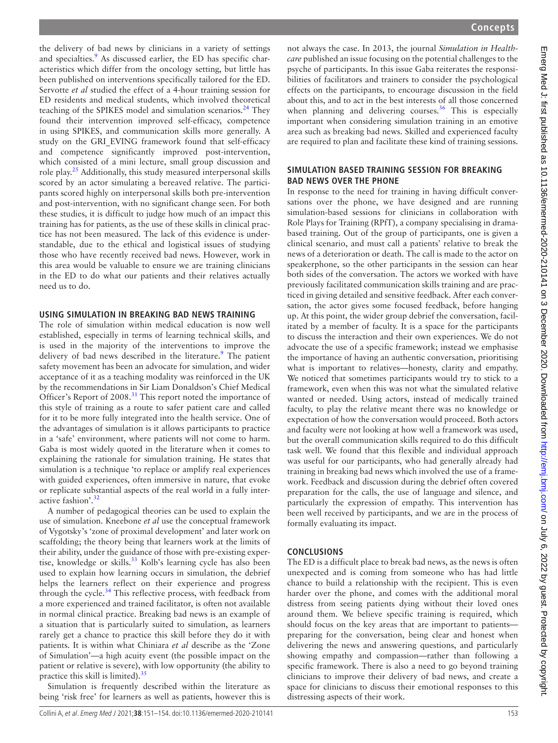the delivery of bad news by clinicians in a variety of settings and specialties.<sup>[9](#page-3-15)</sup> As discussed earlier, the ED has specific characteristics which differ from the oncology setting, but little has been published on interventions specifically tailored for the ED. Servotte *et al* studied the effect of a 4-hour training session for ED residents and medical students, which involved theoretical teaching of the SPIKES model and simulation scenarios. $^{24}$  $^{24}$  $^{24}$  They found their intervention improved self-efficacy, competence in using SPIKES, and communication skills more generally. A study on the GRI\_EVING framework found that self-efficacy and competence significantly improved post-intervention, which consisted of a mini lecture, small group discussion and role play.<sup>25</sup> Additionally, this study measured interpersonal skills scored by an actor simulating a bereaved relative. The participants scored highly on interpersonal skills both pre-intervention and post-intervention, with no significant change seen. For both these studies, it is difficult to judge how much of an impact this training has for patients, as the use of these skills in clinical practice has not been measured. The lack of this evidence is understandable, due to the ethical and logistical issues of studying those who have recently received bad news. However, work in this area would be valuable to ensure we are training clinicians in the ED to do what our patients and their relatives actually need us to do.

## **USING SIMULATION IN BREAKING BAD NEWS TRAINING**

The role of simulation within medical education is now well established, especially in terms of learning technical skills, and is used in the majority of the interventions to improve the delivery of bad news described in the literature.<sup>9</sup> The patient safety movement has been an advocate for simulation, and wider acceptance of it as a teaching modality was reinforced in the UK by the recommendations in Sir Liam Donaldson's Chief Medical Officer's Report of 2008.<sup>31</sup> This report noted the importance of this style of training as a route to safer patient care and called for it to be more fully integrated into the health service. One of the advantages of simulation is it allows participants to practice in a 'safe' environment, where patients will not come to harm. Gaba is most widely quoted in the literature when it comes to explaining the rationale for simulation training. He states that simulation is a technique 'to replace or amplify real experiences with guided experiences, often immersive in nature, that evoke or replicate substantial aspects of the real world in a fully inter-active fashion'.<sup>[32](#page-3-23)</sup>

A number of pedagogical theories can be used to explain the use of simulation. Kneebone *et al* use the conceptual framework of Vygotsky's 'zone of proximal development' and later work on scaffolding; the theory being that learners work at the limits of their ability, under the guidance of those with pre-existing expertise, knowledge or skills.<sup>33</sup> Kolb's learning cycle has also been used to explain how learning occurs in simulation, the debrief helps the learners reflect on their experience and progress through the cycle.<sup>34</sup> This reflective process, with feedback from a more experienced and trained facilitator, is often not available in normal clinical practice. Breaking bad news is an example of a situation that is particularly suited to simulation, as learners rarely get a chance to practice this skill before they do it with patients. It is within what Chiniara *et al* describe as the 'Zone of Simulation'—a high acuity event (the possible impact on the patient or relative is severe), with low opportunity (the ability to practice this skill is limited)[.35](#page-3-26)

Simulation is frequently described within the literature as being 'risk free' for learners as well as patients, however this is

not always the case. In 2013, the journal *Simulation in Healthcare* published an issue focusing on the potential challenges to the psyche of participants. In this issue Gaba reiterates the responsibilities of facilitators and trainers to consider the psychological effects on the participants, to encourage discussion in the field about this, and to act in the best interests of all those concerned when planning and delivering courses. $36$  This is especially important when considering simulation training in an emotive area such as breaking bad news. Skilled and experienced faculty are required to plan and facilitate these kind of training sessions.

## **SIMULATION BASED TRAINING SESSION FOR BREAKING BAD NEWS OVER THE PHONE**

In response to the need for training in having difficult conversations over the phone, we have designed and are running simulation-based sessions for clinicians in collaboration with Role Plays for Training (RPfT), a company specialising in dramabased training. Out of the group of participants, one is given a clinical scenario, and must call a patients' relative to break the news of a deterioration or death. The call is made to the actor on speakerphone, so the other participants in the session can hear both sides of the conversation. The actors we worked with have previously facilitated communication skills training and are practiced in giving detailed and sensitive feedback. After each conversation, the actor gives some focused feedback, before hanging up. At this point, the wider group debrief the conversation, facilitated by a member of faculty. It is a space for the participants to discuss the interaction and their own experiences. We do not advocate the use of a specific framework; instead we emphasise the importance of having an authentic conversation, prioritising what is important to relatives—honesty, clarity and empathy. We noticed that sometimes participants would try to stick to a framework, even when this was not what the simulated relative wanted or needed. Using actors, instead of medically trained faculty, to play the relative meant there was no knowledge or expectation of how the conversation would proceed. Both actors and faculty were not looking at how well a framework was used, but the overall communication skills required to do this difficult task well. We found that this flexible and individual approach was useful for our participants, who had generally already had training in breaking bad news which involved the use of a framework. Feedback and discussion during the debrief often covered preparation for the calls, the use of language and silence, and particularly the expression of empathy. This intervention has been well received by participants, and we are in the process of formally evaluating its impact.

## **CONCLUSIONS**

The ED is a difficult place to break bad news, as the news is often unexpected and is coming from someone who has had little chance to build a relationship with the recipient. This is even harder over the phone, and comes with the additional moral distress from seeing patients dying without their loved ones around them. We believe specific training is required, which should focus on the key areas that are important to patients preparing for the conversation, being clear and honest when delivering the news and answering questions, and particularly showing empathy and compassion—rather than following a specific framework. There is also a need to go beyond training clinicians to improve their delivery of bad news, and create a space for clinicians to discuss their emotional responses to this distressing aspects of their work.